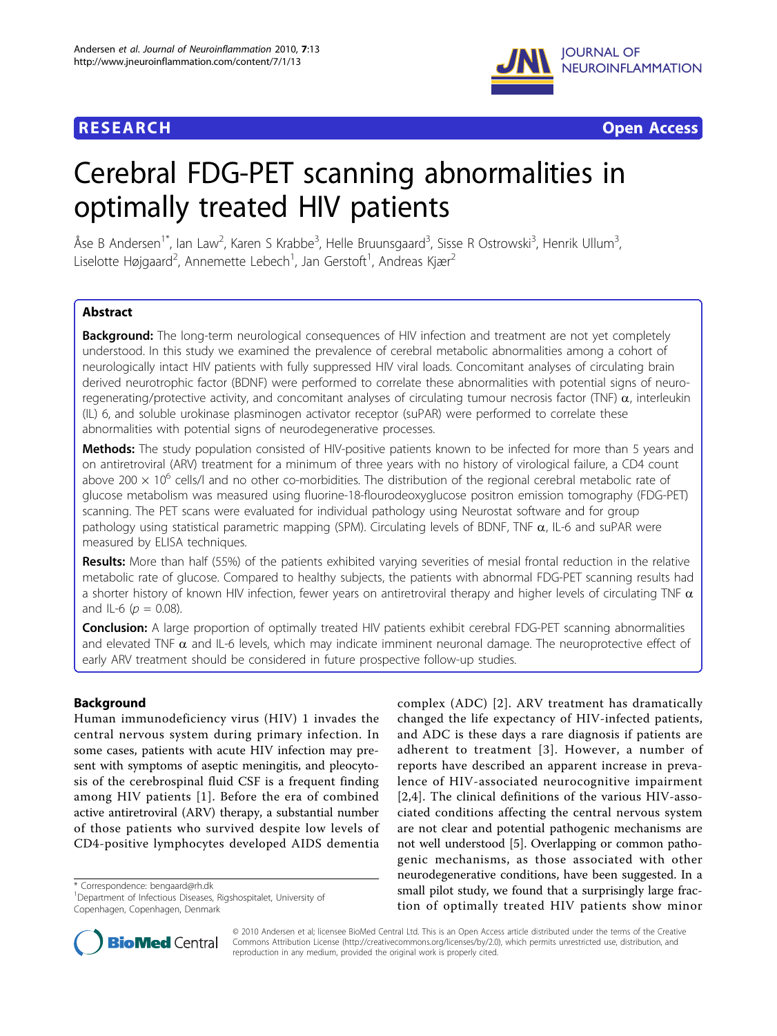

**RESEARCH CONTROL** CONTROL CONTROL CONTROL CONTROL CONTROL CONTROL CONTROL CONTROL CONTROL CONTROL CONTROL CONTROL

# Cerebral FDG-PET scanning abnormalities in optimally treated HIV patients

Åse B Andersen<sup>1\*</sup>, Ian Law<sup>2</sup>, Karen S Krabbe<sup>3</sup>, Helle Bruunsgaard<sup>3</sup>, Sisse R Ostrowski<sup>3</sup>, Henrik Ullum<sup>3</sup> , Liselotte Højgaard<sup>2</sup>, Annemette Lebech<sup>1</sup>, Jan Gerstoft<sup>1</sup>, Andreas Kjær<sup>2</sup>

# Abstract

**Background:** The long-term neurological consequences of HIV infection and treatment are not yet completely understood. In this study we examined the prevalence of cerebral metabolic abnormalities among a cohort of neurologically intact HIV patients with fully suppressed HIV viral loads. Concomitant analyses of circulating brain derived neurotrophic factor (BDNF) were performed to correlate these abnormalities with potential signs of neuroregenerating/protective activity, and concomitant analyses of circulating tumour necrosis factor (TNF)  $\alpha$ , interleukin (IL) 6, and soluble urokinase plasminogen activator receptor (suPAR) were performed to correlate these abnormalities with potential signs of neurodegenerative processes.

Methods: The study population consisted of HIV-positive patients known to be infected for more than 5 years and on antiretroviral (ARV) treatment for a minimum of three years with no history of virological failure, a CD4 count above 200  $\times$  10<sup>6</sup> cells/l and no other co-morbidities. The distribution of the regional cerebral metabolic rate of glucose metabolism was measured using fluorine-18-flourodeoxyglucose positron emission tomography (FDG-PET) scanning. The PET scans were evaluated for individual pathology using Neurostat software and for group pathology using statistical parametric mapping (SPM). Circulating levels of BDNF, TNF  $\alpha$ , IL-6 and suPAR were measured by ELISA techniques.

**Results:** More than half (55%) of the patients exhibited varying severities of mesial frontal reduction in the relative metabolic rate of glucose. Compared to healthy subjects, the patients with abnormal FDG-PET scanning results had a shorter history of known HIV infection, fewer years on antiretroviral therapy and higher levels of circulating TNF  $\alpha$ and IL-6 ( $p = 0.08$ ).

Conclusion: A large proportion of optimally treated HIV patients exhibit cerebral FDG-PET scanning abnormalities and elevated TNF  $\alpha$  and IL-6 levels, which may indicate imminent neuronal damage. The neuroprotective effect of early ARV treatment should be considered in future prospective follow-up studies.

# Background

Human immunodeficiency virus (HIV) 1 invades the central nervous system during primary infection. In some cases, patients with acute HIV infection may present with symptoms of aseptic meningitis, and pleocytosis of the cerebrospinal fluid CSF is a frequent finding among HIV patients [[1](#page-5-0)]. Before the era of combined active antiretroviral (ARV) therapy, a substantial number of those patients who survived despite low levels of CD4-positive lymphocytes developed AIDS dementia

\* Correspondence: [bengaard@rh.dk](mailto:bengaard@rh.dk)

complex (ADC) [[2](#page-5-0)]. ARV treatment has dramatically changed the life expectancy of HIV-infected patients, and ADC is these days a rare diagnosis if patients are adherent to treatment [[3\]](#page-5-0). However, a number of reports have described an apparent increase in prevalence of HIV-associated neurocognitive impairment [[2,4\]](#page-5-0). The clinical definitions of the various HIV-associated conditions affecting the central nervous system are not clear and potential pathogenic mechanisms are not well understood [[5\]](#page-5-0). Overlapping or common pathogenic mechanisms, as those associated with other neurodegenerative conditions, have been suggested. In a small pilot study, we found that a surprisingly large fraction of optimally treated HIV patients show minor



© 2010 Andersen et al; licensee BioMed Central Ltd. This is an Open Access article distributed under the terms of the Creative Commons Attribution License [\(http://creativecommons.org/licenses/by/2.0](http://creativecommons.org/licenses/by/2.0)), which permits unrestricted use, distribution, and reproduction in any medium, provided the original work is properly cited.

<sup>&</sup>lt;sup>1</sup>Department of Infectious Diseases, Rigshospitalet, University of Copenhagen, Copenhagen, Denmark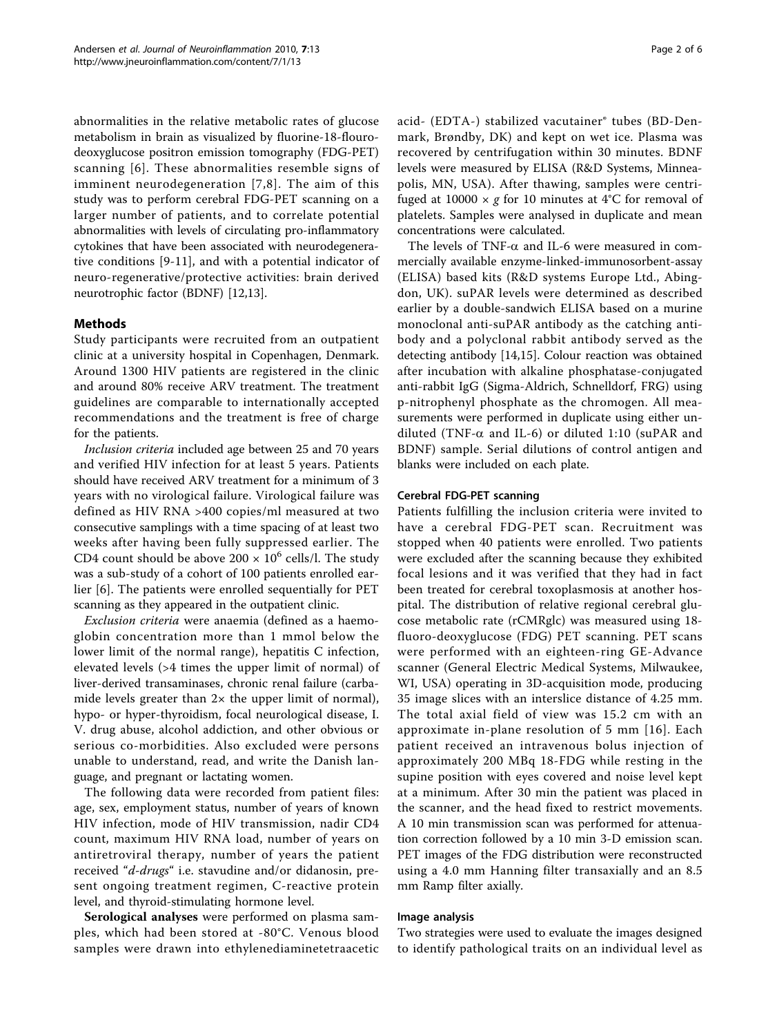abnormalities in the relative metabolic rates of glucose metabolism in brain as visualized by fluorine-18-flourodeoxyglucose positron emission tomography (FDG-PET) scanning [[6\]](#page-5-0). These abnormalities resemble signs of imminent neurodegeneration [[7,8\]](#page-5-0). The aim of this study was to perform cerebral FDG-PET scanning on a larger number of patients, and to correlate potential abnormalities with levels of circulating pro-inflammatory cytokines that have been associated with neurodegenerative conditions [[9-11](#page-5-0)], and with a potential indicator of neuro-regenerative/protective activities: brain derived neurotrophic factor (BDNF) [[12,13\]](#page-5-0).

# Methods

Study participants were recruited from an outpatient clinic at a university hospital in Copenhagen, Denmark. Around 1300 HIV patients are registered in the clinic and around 80% receive ARV treatment. The treatment guidelines are comparable to internationally accepted recommendations and the treatment is free of charge for the patients.

Inclusion criteria included age between 25 and 70 years and verified HIV infection for at least 5 years. Patients should have received ARV treatment for a minimum of 3 years with no virological failure. Virological failure was defined as HIV RNA >400 copies/ml measured at two consecutive samplings with a time spacing of at least two weeks after having been fully suppressed earlier. The CD4 count should be above  $200 \times 10^6$  cells/l. The study was a sub-study of a cohort of 100 patients enrolled earlier [[6\]](#page-5-0). The patients were enrolled sequentially for PET scanning as they appeared in the outpatient clinic.

Exclusion criteria were anaemia (defined as a haemoglobin concentration more than 1 mmol below the lower limit of the normal range), hepatitis C infection, elevated levels (>4 times the upper limit of normal) of liver-derived transaminases, chronic renal failure (carbamide levels greater than 2× the upper limit of normal), hypo- or hyper-thyroidism, focal neurological disease, I. V. drug abuse, alcohol addiction, and other obvious or serious co-morbidities. Also excluded were persons unable to understand, read, and write the Danish language, and pregnant or lactating women.

The following data were recorded from patient files: age, sex, employment status, number of years of known HIV infection, mode of HIV transmission, nadir CD4 count, maximum HIV RNA load, number of years on antiretroviral therapy, number of years the patient received "d-drugs" i.e. stavudine and/or didanosin, present ongoing treatment regimen, C-reactive protein level, and thyroid-stimulating hormone level.

Serological analyses were performed on plasma samples, which had been stored at -80°C. Venous blood samples were drawn into ethylenediaminetetraacetic acid- (EDTA-) stabilized vacutainer® tubes (BD-Denmark, Brøndby, DK) and kept on wet ice. Plasma was recovered by centrifugation within 30 minutes. BDNF levels were measured by ELISA (R&D Systems, Minneapolis, MN, USA). After thawing, samples were centrifuged at 10000  $\times$  g for 10 minutes at 4°C for removal of platelets. Samples were analysed in duplicate and mean concentrations were calculated.

The levels of TNF- $\alpha$  and IL-6 were measured in commercially available enzyme-linked-immunosorbent-assay (ELISA) based kits (R&D systems Europe Ltd., Abingdon, UK). suPAR levels were determined as described earlier by a double-sandwich ELISA based on a murine monoclonal anti-suPAR antibody as the catching antibody and a polyclonal rabbit antibody served as the detecting antibody [[14,15\]](#page-5-0). Colour reaction was obtained after incubation with alkaline phosphatase-conjugated anti-rabbit IgG (Sigma-Aldrich, Schnelldorf, FRG) using p-nitrophenyl phosphate as the chromogen. All measurements were performed in duplicate using either undiluted (TNF- $\alpha$  and IL-6) or diluted 1:10 (suPAR and BDNF) sample. Serial dilutions of control antigen and blanks were included on each plate.

# Cerebral FDG-PET scanning

Patients fulfilling the inclusion criteria were invited to have a cerebral FDG-PET scan. Recruitment was stopped when 40 patients were enrolled. Two patients were excluded after the scanning because they exhibited focal lesions and it was verified that they had in fact been treated for cerebral toxoplasmosis at another hospital. The distribution of relative regional cerebral glucose metabolic rate (rCMRglc) was measured using 18 fluoro-deoxyglucose (FDG) PET scanning. PET scans were performed with an eighteen-ring GE-Advance scanner (General Electric Medical Systems, Milwaukee, WI, USA) operating in 3D-acquisition mode, producing 35 image slices with an interslice distance of 4.25 mm. The total axial field of view was 15.2 cm with an approximate in-plane resolution of 5 mm [[16](#page-5-0)]. Each patient received an intravenous bolus injection of approximately 200 MBq 18-FDG while resting in the supine position with eyes covered and noise level kept at a minimum. After 30 min the patient was placed in the scanner, and the head fixed to restrict movements. A 10 min transmission scan was performed for attenuation correction followed by a 10 min 3-D emission scan. PET images of the FDG distribution were reconstructed using a 4.0 mm Hanning filter transaxially and an 8.5 mm Ramp filter axially.

# Image analysis

Two strategies were used to evaluate the images designed to identify pathological traits on an individual level as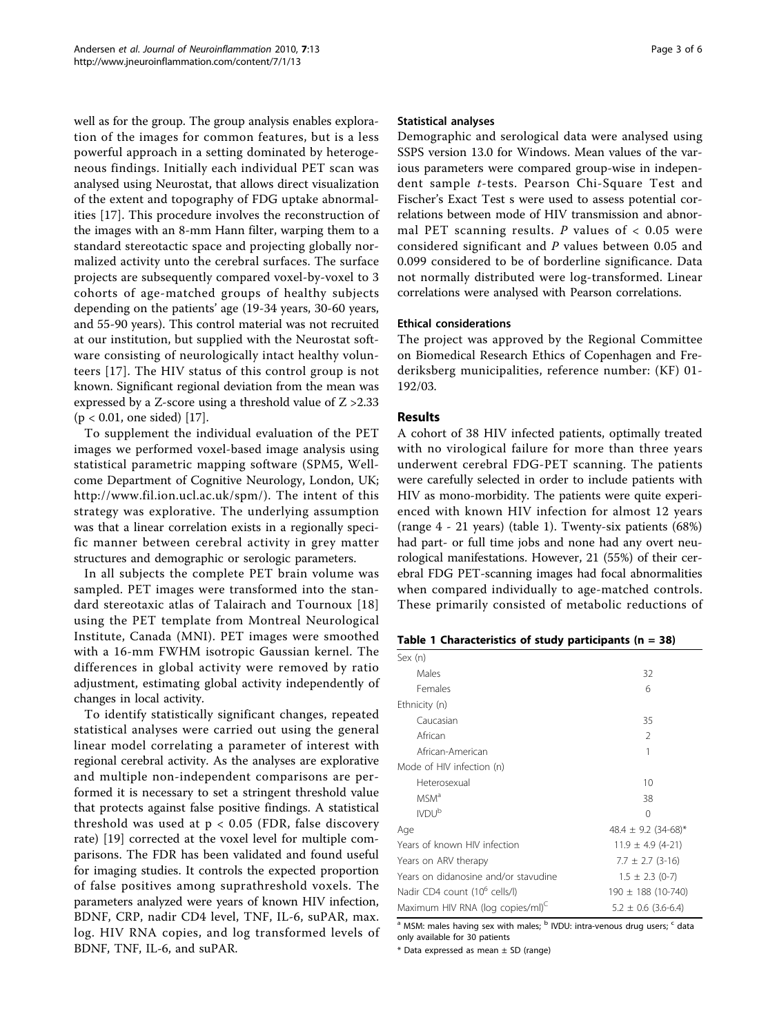well as for the group. The group analysis enables exploration of the images for common features, but is a less powerful approach in a setting dominated by heterogeneous findings. Initially each individual PET scan was analysed using Neurostat, that allows direct visualization of the extent and topography of FDG uptake abnormalities [[17](#page-5-0)]. This procedure involves the reconstruction of the images with an 8-mm Hann filter, warping them to a standard stereotactic space and projecting globally normalized activity unto the cerebral surfaces. The surface projects are subsequently compared voxel-by-voxel to 3 cohorts of age-matched groups of healthy subjects depending on the patients' age (19-34 years, 30-60 years, and 55-90 years). This control material was not recruited at our institution, but supplied with the Neurostat software consisting of neurologically intact healthy volunteers [[17](#page-5-0)]. The HIV status of this control group is not known. Significant regional deviation from the mean was expressed by a Z-score using a threshold value of Z >2.33 (p < 0.01, one sided) [\[17\]](#page-5-0).

To supplement the individual evaluation of the PET images we performed voxel-based image analysis using statistical parametric mapping software (SPM5, Wellcome Department of Cognitive Neurology, London, UK; <http://www.fil.ion.ucl.ac.uk/spm/>). The intent of this strategy was explorative. The underlying assumption was that a linear correlation exists in a regionally specific manner between cerebral activity in grey matter structures and demographic or serologic parameters.

In all subjects the complete PET brain volume was sampled. PET images were transformed into the standard stereotaxic atlas of Talairach and Tournoux [[18](#page-5-0)] using the PET template from Montreal Neurological Institute, Canada (MNI). PET images were smoothed with a 16-mm FWHM isotropic Gaussian kernel. The differences in global activity were removed by ratio adjustment, estimating global activity independently of changes in local activity.

To identify statistically significant changes, repeated statistical analyses were carried out using the general linear model correlating a parameter of interest with regional cerebral activity. As the analyses are explorative and multiple non-independent comparisons are performed it is necessary to set a stringent threshold value that protects against false positive findings. A statistical threshold was used at  $p < 0.05$  (FDR, false discovery rate) [\[19](#page-5-0)] corrected at the voxel level for multiple comparisons. The FDR has been validated and found useful for imaging studies. It controls the expected proportion of false positives among suprathreshold voxels. The parameters analyzed were years of known HIV infection, BDNF, CRP, nadir CD4 level, TNF, IL-6, suPAR, max. log. HIV RNA copies, and log transformed levels of BDNF, TNF, IL-6, and suPAR.

#### Statistical analyses

Demographic and serological data were analysed using SSPS version 13.0 for Windows. Mean values of the various parameters were compared group-wise in independent sample t-tests. Pearson Chi-Square Test and Fischer's Exact Test s were used to assess potential correlations between mode of HIV transmission and abnormal PET scanning results. P values of  $< 0.05$  were considered significant and P values between 0.05 and 0.099 considered to be of borderline significance. Data not normally distributed were log-transformed. Linear correlations were analysed with Pearson correlations.

#### Ethical considerations

The project was approved by the Regional Committee on Biomedical Research Ethics of Copenhagen and Frederiksberg municipalities, reference number: (KF) 01- 192/03.

# Results

A cohort of 38 HIV infected patients, optimally treated with no virological failure for more than three years underwent cerebral FDG-PET scanning. The patients were carefully selected in order to include patients with HIV as mono-morbidity. The patients were quite experienced with known HIV infection for almost 12 years (range 4 - 21 years) (table 1). Twenty-six patients (68%) had part- or full time jobs and none had any overt neurological manifestations. However, 21 (55%) of their cerebral FDG PET-scanning images had focal abnormalities when compared individually to age-matched controls. These primarily consisted of metabolic reductions of

| Sex(n)                                       |                         |  |  |
|----------------------------------------------|-------------------------|--|--|
| Males                                        | 32                      |  |  |
| Females                                      | 6                       |  |  |
| Ethnicity (n)                                |                         |  |  |
| Caucasian                                    | 35                      |  |  |
| African                                      | $\mathfrak{D}$          |  |  |
| African-American                             | 1                       |  |  |
| Mode of HIV infection (n)                    |                         |  |  |
| Heterosexual                                 | 10                      |  |  |
| MSM <sup>a</sup>                             | 38                      |  |  |
| <b>IVDU<sup>b</sup></b>                      | $\Omega$                |  |  |
| Age                                          | 48.4 $\pm$ 9.2 (34-68)* |  |  |
| Years of known HIV infection                 | $11.9 \pm 4.9$ (4-21)   |  |  |
| Years on ARV therapy                         | $7.7 \pm 2.7$ (3-16)    |  |  |
| Years on didanosine and/or stavudine         | $1.5 \pm 2.3$ (0-7)     |  |  |
| Nadir CD4 count (10 <sup>6</sup> cells/l)    | $190 \pm 188$ (10-740)  |  |  |
| Maximum HIV RNA (log copies/ml) <sup>C</sup> | $5.2 \pm 0.6$ (3.6-6.4) |  |  |

<sup>a</sup> MSM: males having sex with males; <sup>b</sup> IVDU: intra-venous drug users; <sup>c</sup> data only available for 30 patients

 $*$  Data expressed as mean  $\pm$  SD (range)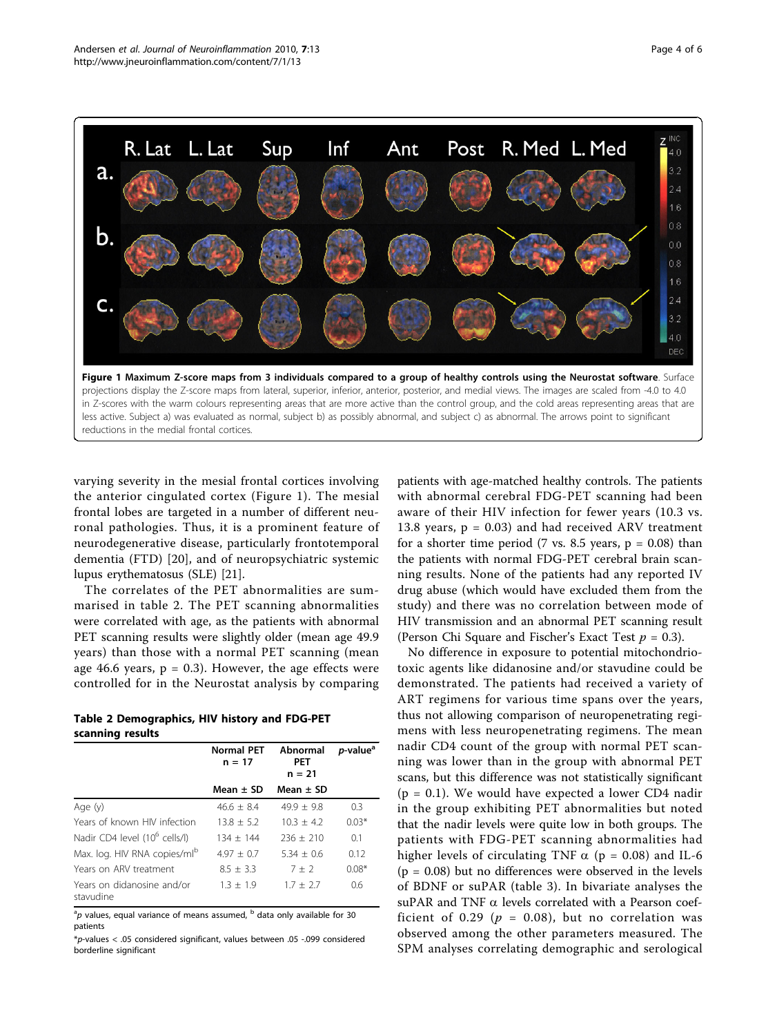

less active. Subject a) was evaluated as normal, subject b) as possibly abnormal, and subject c) as abnormal. The arrows point to significant reductions in the medial frontal cortices.

varying severity in the mesial frontal cortices involving the anterior cingulated cortex (Figure 1). The mesial frontal lobes are targeted in a number of different neuronal pathologies. Thus, it is a prominent feature of neurodegenerative disease, particularly frontotemporal dementia (FTD) [[20\]](#page-5-0), and of neuropsychiatric systemic lupus erythematosus (SLE) [[21](#page-5-0)].

The correlates of the PET abnormalities are summarised in table 2. The PET scanning abnormalities were correlated with age, as the patients with abnormal PET scanning results were slightly older (mean age 49.9 years) than those with a normal PET scanning (mean age 46.6 years,  $p = 0.3$ ). However, the age effects were controlled for in the Neurostat analysis by comparing

| Table 2 Demographics, HIV history and FDG-PET |  |  |
|-----------------------------------------------|--|--|
| scanning results                              |  |  |

|                                           | <b>Normal PET</b><br>$n = 17$ | Abnormal<br><b>PET</b><br>$n = 21$ | <i>p</i> -value <sup>a</sup> |
|-------------------------------------------|-------------------------------|------------------------------------|------------------------------|
|                                           | Mean $\pm$ SD                 | Mean $\pm$ SD                      |                              |
| Age (y)                                   | $46.6 + 8.4$                  | $49.9 + 9.8$                       | 0.3                          |
| Years of known HIV infection              | $13.8 + 5.2$                  | $10.3 + 4.2$                       | $0.03*$                      |
| Nadir CD4 level (10 <sup>6</sup> cells/l) | $134 + 144$                   | $236 + 210$                        | 0.1                          |
| Max. log. HIV RNA copies/ml <sup>b</sup>  | $4.97 + 0.7$                  | $5.34 + 0.6$                       | 0.12                         |
| Years on ARV treatment                    | $8.5 + 3.3$                   | $7 + 2$                            | $0.08*$                      |
| Years on didanosine and/or<br>stavudine   | $1.3 + 1.9$                   | $1.7 + 2.7$                        | 0.6                          |

 $^{\text{a}}$ p values, equal variance of means assumed,  $^{\text{b}}$  data only available for 30 patients

 $p$ -values < .05 considered significant, values between .05 -.099 considered borderline significant

patients with age-matched healthy controls. The patients with abnormal cerebral FDG-PET scanning had been aware of their HIV infection for fewer years (10.3 vs. 13.8 years,  $p = 0.03$ ) and had received ARV treatment for a shorter time period (7 vs. 8.5 years,  $p = 0.08$ ) than the patients with normal FDG-PET cerebral brain scanning results. None of the patients had any reported IV drug abuse (which would have excluded them from the study) and there was no correlation between mode of HIV transmission and an abnormal PET scanning result (Person Chi Square and Fischer's Exact Test  $p = 0.3$ ).

No difference in exposure to potential mitochondriotoxic agents like didanosine and/or stavudine could be demonstrated. The patients had received a variety of ART regimens for various time spans over the years, thus not allowing comparison of neuropenetrating regimens with less neuropenetrating regimens. The mean nadir CD4 count of the group with normal PET scanning was lower than in the group with abnormal PET scans, but this difference was not statistically significant  $(p = 0.1)$ . We would have expected a lower CD4 nadir in the group exhibiting PET abnormalities but noted that the nadir levels were quite low in both groups. The patients with FDG-PET scanning abnormalities had higher levels of circulating TNF  $\alpha$  (p = 0.08) and IL-6  $(p = 0.08)$  but no differences were observed in the levels of BDNF or suPAR (table [3](#page-4-0)). In bivariate analyses the suPAR and TNF  $\alpha$  levels correlated with a Pearson coefficient of 0.29 ( $p = 0.08$ ), but no correlation was observed among the other parameters measured. The SPM analyses correlating demographic and serological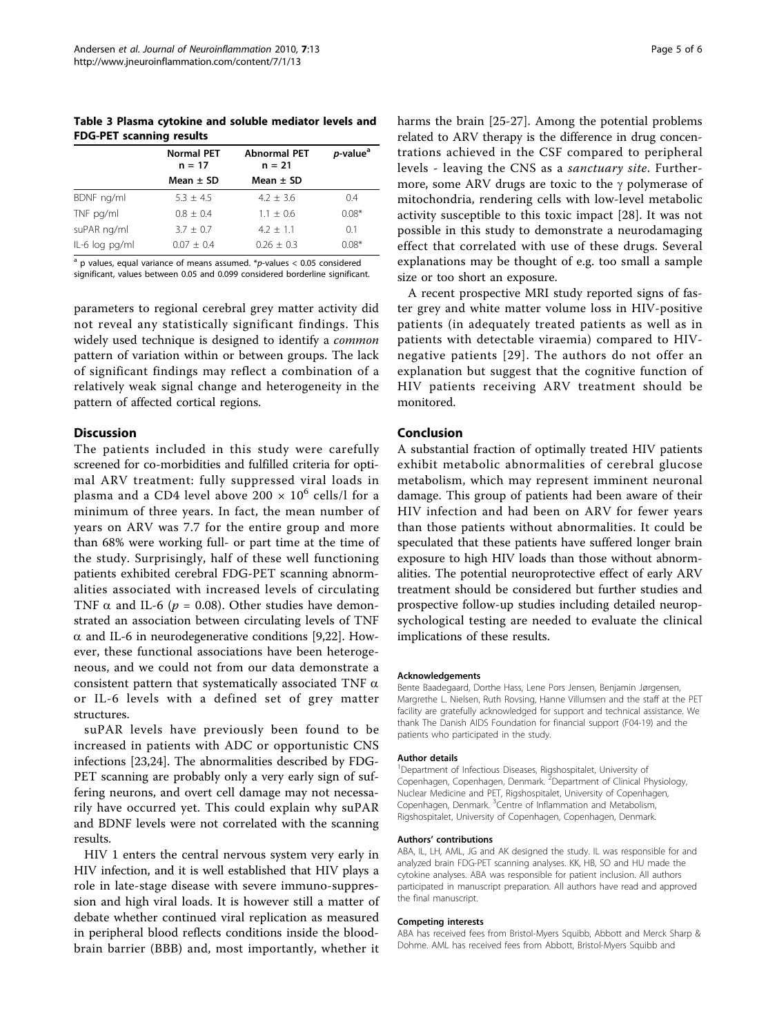<span id="page-4-0"></span>Table 3 Plasma cytokine and soluble mediator levels and FDG-PET scanning results

|                | <b>Normal PET</b><br>$n = 17$ | <b>Abnormal PET</b><br>$n = 21$ | <i>p</i> -value <sup>a</sup> |
|----------------|-------------------------------|---------------------------------|------------------------------|
|                | Mean $\pm$ SD                 | Mean $\pm$ SD                   |                              |
| BDNF ng/ml     | $5.3 + 4.5$                   | $4.2 + 3.6$                     | 0.4                          |
| TNF pg/ml      | $0.8 + 0.4$                   | $1.1 \pm 0.6$                   | $0.08*$                      |
| suPAR ng/ml    | $3.7 \pm 0.7$                 | $4.2 + 1.1$                     | 0.1                          |
| IL-6 log pg/ml | $0.07 \pm 0.4$                | $0.26 + 0.3$                    | $0.08*$                      |

 $a$  p values, equal variance of means assumed. \*p-values < 0.05 considered significant, values between 0.05 and 0.099 considered borderline significant.

parameters to regional cerebral grey matter activity did not reveal any statistically significant findings. This widely used technique is designed to identify a *common* pattern of variation within or between groups. The lack of significant findings may reflect a combination of a relatively weak signal change and heterogeneity in the pattern of affected cortical regions.

# **Discussion**

The patients included in this study were carefully screened for co-morbidities and fulfilled criteria for optimal ARV treatment: fully suppressed viral loads in plasma and a CD4 level above 200  $\times$  10<sup>6</sup> cells/l for a minimum of three years. In fact, the mean number of years on ARV was 7.7 for the entire group and more than 68% were working full- or part time at the time of the study. Surprisingly, half of these well functioning patients exhibited cerebral FDG-PET scanning abnormalities associated with increased levels of circulating TNF  $\alpha$  and IL-6 ( $p = 0.08$ ). Other studies have demonstrated an association between circulating levels of TNF  $\alpha$  and IL-6 in neurodegenerative conditions [\[9,22](#page-5-0)]. However, these functional associations have been heterogeneous, and we could not from our data demonstrate a consistent pattern that systematically associated TNF  $\alpha$ or IL-6 levels with a defined set of grey matter structures.

suPAR levels have previously been found to be increased in patients with ADC or opportunistic CNS infections [\[23,24\]](#page-5-0). The abnormalities described by FDG-PET scanning are probably only a very early sign of suffering neurons, and overt cell damage may not necessarily have occurred yet. This could explain why suPAR and BDNF levels were not correlated with the scanning results.

HIV 1 enters the central nervous system very early in HIV infection, and it is well established that HIV plays a role in late-stage disease with severe immuno-suppression and high viral loads. It is however still a matter of debate whether continued viral replication as measured in peripheral blood reflects conditions inside the bloodbrain barrier (BBB) and, most importantly, whether it

harms the brain [[25-27](#page-5-0)]. Among the potential problems related to ARV therapy is the difference in drug concentrations achieved in the CSF compared to peripheral levels - leaving the CNS as a sanctuary site. Furthermore, some ARV drugs are toxic to the  $\gamma$  polymerase of mitochondria, rendering cells with low-level metabolic activity susceptible to this toxic impact [[28](#page-5-0)]. It was not possible in this study to demonstrate a neurodamaging effect that correlated with use of these drugs. Several explanations may be thought of e.g. too small a sample size or too short an exposure.

A recent prospective MRI study reported signs of faster grey and white matter volume loss in HIV-positive patients (in adequately treated patients as well as in patients with detectable viraemia) compared to HIVnegative patients [[29\]](#page-5-0). The authors do not offer an explanation but suggest that the cognitive function of HIV patients receiving ARV treatment should be monitored.

# Conclusion

A substantial fraction of optimally treated HIV patients exhibit metabolic abnormalities of cerebral glucose metabolism, which may represent imminent neuronal damage. This group of patients had been aware of their HIV infection and had been on ARV for fewer years than those patients without abnormalities. It could be speculated that these patients have suffered longer brain exposure to high HIV loads than those without abnormalities. The potential neuroprotective effect of early ARV treatment should be considered but further studies and prospective follow-up studies including detailed neuropsychological testing are needed to evaluate the clinical implications of these results.

#### Acknowledgements

Bente Baadegaard, Dorthe Hass, Lene Pors Jensen, Benjamin Jørgensen, Margrethe L. Nielsen, Ruth Rovsing, Hanne Villumsen and the staff at the PET facility are gratefully acknowledged for support and technical assistance. We thank The Danish AIDS Foundation for financial support (F04-19) and the patients who participated in the study.

#### Author details

<sup>1</sup>Department of Infectious Diseases, Rigshospitalet, University of Copenhagen, Copenhagen, Denmark.<sup>2</sup> Department of Clinical Physiology, Nuclear Medicine and PET, Rigshospitalet, University of Copenhagen, Copenhagen, Denmark. <sup>3</sup>Centre of Inflammation and Metabolism Rigshospitalet, University of Copenhagen, Copenhagen, Denmark.

#### Authors' contributions

ABA, IL, LH, AML, JG and AK designed the study. IL was responsible for and analyzed brain FDG-PET scanning analyses. KK, HB, SO and HU made the cytokine analyses. ABA was responsible for patient inclusion. All authors participated in manuscript preparation. All authors have read and approved the final manuscript.

#### Competing interests

ABA has received fees from Bristol-Myers Squibb, Abbott and Merck Sharp & Dohme. AML has received fees from Abbott, Bristol-Myers Squibb and